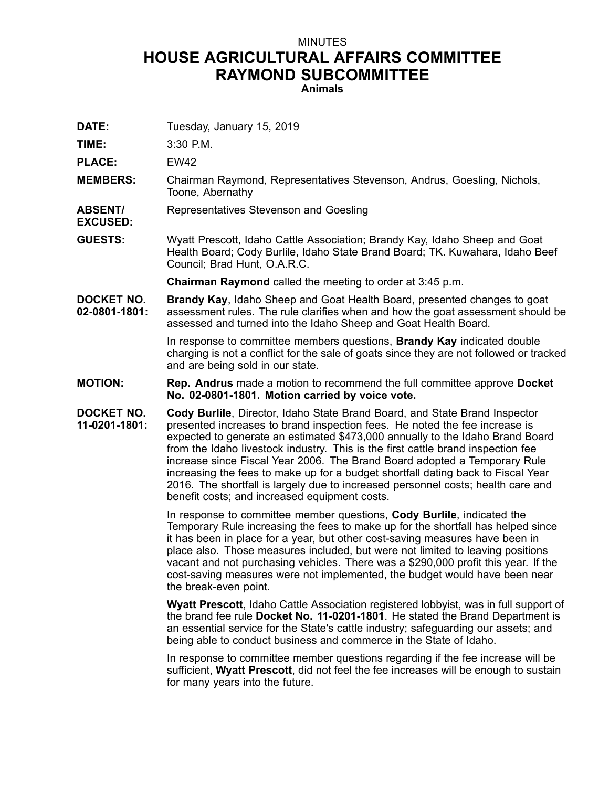## MINUTES **HOUSE AGRICULTURAL AFFAIRS COMMITTEE RAYMOND SUBCOMMITTEE Animals**

**DATE:** Tuesday, January 15, 2019

**TIME:** 3:30 P.M.

**PLACE:** EW42

**MEMBERS:** Chairman Raymond, Representatives Stevenson, Andrus, Goesling, Nichols, Toone, Abernathy

**ABSENT/ EXCUSED:** Representatives Stevenson and Goesling

**GUESTS:** Wyatt Prescott, Idaho Cattle Association; Brandy Kay, Idaho Sheep and Goat Health Board; Cody Burlile, Idaho State Brand Board; TK. Kuwahara, Idaho Beef Council; Brad Hunt, O.A.R.C.

**Chairman Raymond** called the meeting to order at 3:45 p.m.

**DOCKET NO. 02-0801-1801: Brandy Kay**, Idaho Sheep and Goat Health Board, presented changes to goat assessment rules. The rule clarifies when and how the goat assessment should be assessed and turned into the Idaho Sheep and Goat Health Board.

> In response to committee members questions, **Brandy Kay** indicated double charging is not <sup>a</sup> conflict for the sale of goats since they are not followed or tracked and are being sold in our state.

- **MOTION: Rep. Andrus** made <sup>a</sup> motion to recommend the full committee approve **Docket No. 02-0801-1801. Motion carried by voice vote.**
- **DOCKET NO. 11-0201-1801: Cody Burlile**, Director, Idaho State Brand Board, and State Brand Inspector presented increases to brand inspection fees. He noted the fee increase is expected to generate an estimated \$473,000 annually to the Idaho Brand Board from the Idaho livestock industry. This is the first cattle brand inspection fee increase since Fiscal Year 2006. The Brand Board adopted <sup>a</sup> Temporary Rule increasing the fees to make up for <sup>a</sup> budget shortfall dating back to Fiscal Year 2016. The shortfall is largely due to increased personnel costs; health care and benefit costs; and increased equipment costs.

In response to committee member questions, **Cody Burlile**, indicated the Temporary Rule increasing the fees to make up for the shortfall has helped since it has been in place for <sup>a</sup> year, but other cost-saving measures have been in place also. Those measures included, but were not limited to leaving positions vacant and not purchasing vehicles. There was <sup>a</sup> \$290,000 profit this year. If the cost-saving measures were not implemented, the budget would have been near the break-even point.

**Wyatt Prescott**, Idaho Cattle Association registered lobbyist, was in full support of the brand fee rule **Docket No. 11-0201-1801**. He stated the Brand Department is an essential service for the State's cattle industry; safeguarding our assets; and being able to conduct business and commerce in the State of Idaho.

In response to committee member questions regarding if the fee increase will be sufficient, **Wyatt Prescott**, did not feel the fee increases will be enough to sustain for many years into the future.